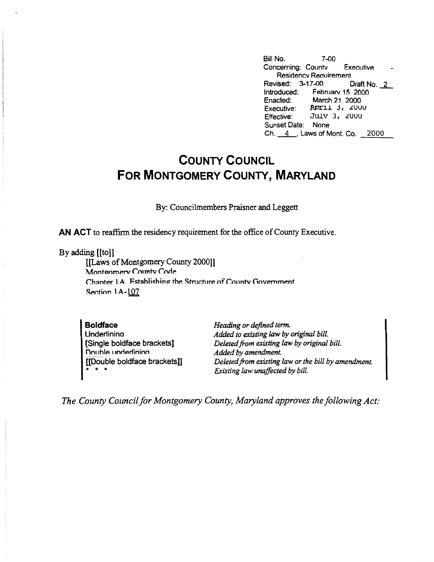Bill No. 7-00 Concerning: Countv Executive Residencv Reauirement Revised: 3-17-00 Draft No. 2 Introduced: February 15, 2000<br>Enacted: March 21, 2000 Enacted: March 21. 2000<br>Executive: Prochet 3, 200 Executive: **PPILL 3, 2000**<br>Effective: July 3, 2000 July 3, 2000 Sunset Date: None Ch.  $4$ , Laws of Mont. Co. 2000

## **COUNTY COUNCIL FOR MONTGOMERY COUNTY, MARYLAND**

By: Councilmembers Praisner and Leggett

**AN ACT** to reaffirm the residency requirement for the office of County Executive.

By adding [[to]]

[[Laws of Montgomery County 2000]] Montgomery County Code Chanter 1 A. Fstahlishing the Structure of County Government **Section 1 A-107** 

**Boldface Underlinina** [Single boldface brackets] Double underlining [[Double boldface brackets]] \* \* \*

*Heading or defined term. Added to existing law by original bill. Deleted.from existing law by original bill. Added by amendment. Deleted.from existing law or the bill by amendment. Existing law unaffected by bill.* 

*The County Council for Montgomery County, Maryland approves the following Act:*